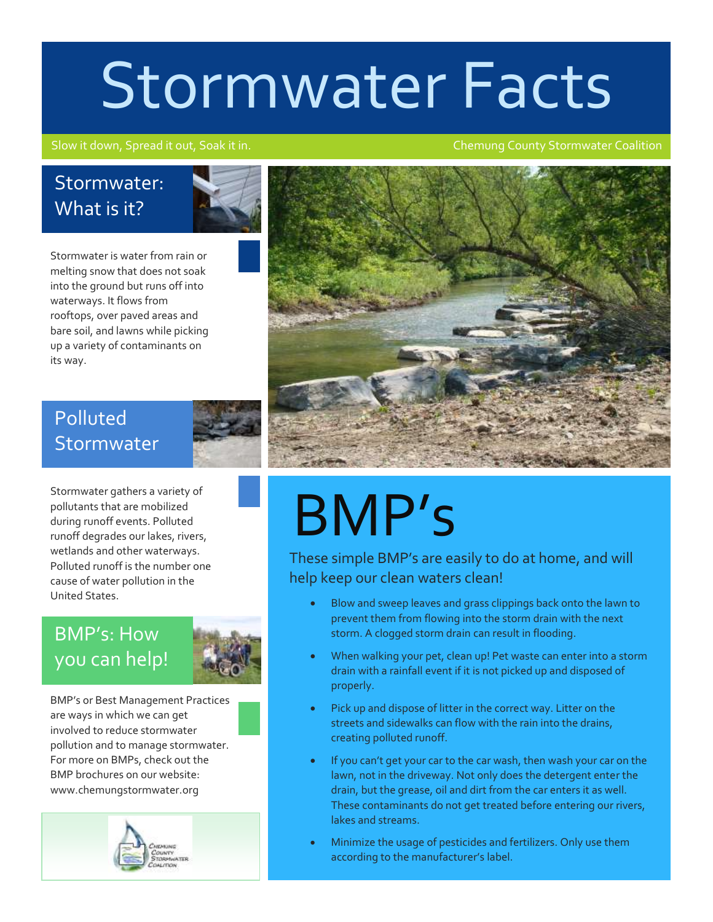# Stormwater Facts

#### Slow it down, Spread it out, Soak it in. Chemung County Stormwater Coalition

### Stormwater: What is it?



Stormwater is water from rain or melting snow that does not soak into the ground but runs off into waterways. It flows from rooftops, over paved areas and bare soil, and lawns while picking up a variety of contaminants on its way.

### Polluted **Stormwater**



Stormwater gathers a variety of pollutants that are mobilized during runoff events. Polluted runoff degrades our lakes, rivers, wetlands and other waterways. Polluted runoff is the number one cause of water pollution in the United States.

### BMP's: How you can help!



BMP's or Best Management Practices are ways in which we can get involved to reduce stormwater pollution and to manage stormwater. For more on BMPs, check out the BMP brochures on our website: www.chemungstormwater.org





## BMP's

These simple BMP's are easily to do at home, and will help keep our clean waters clean!

- Blow and sweep leaves and grass clippings back onto the lawn to prevent them from flowing into the storm drain with the next storm. A clogged storm drain can result in flooding.
- When walking your pet, clean up! Pet waste can enter into a storm drain with a rainfall event if it is not picked up and disposed of properly.
- Pick up and dispose of litter in the correct way. Litter on the streets and sidewalks can flow with the rain into the drains, creating polluted runoff.
- If you can't get your car to the car wash, then wash your car on the lawn, not in the driveway. Not only does the detergent enter the drain, but the grease, oil and dirt from the car enters it as well. These contaminants do not get treated before entering our rivers, lakes and streams.
- Minimize the usage of pesticides and fertilizers. Only use them according to the manufacturer's label.